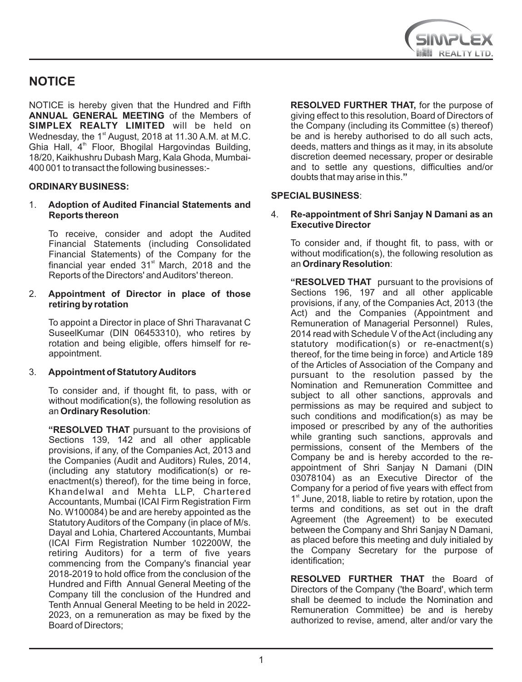

## **NOTICE**

NOTICE is hereby given that the Hundred and Fifth **ANNUAL GENERAL MEETING** of the Members of **SIMPLEX REALTY LIMITED** will be held on Wednesday, the  $1<sup>st</sup>$  August, 2018 at 11.30 A.M. at M.C. Ghia Hall, 4<sup>th</sup> Floor, Bhogilal Hargovindas Building, 18/20, Kaikhushru Dubash Marg, Kala Ghoda, Mumbai-400 001 to transact the following businesses:-

### **ORDINARY BUSINESS:**

### 1. **Adoption of Audited Financial Statements and Reports thereon**

To receive, consider and adopt the Audited Financial Statements (including Consolidated Financial Statements) of the Company for the financial year ended  $31<sup>st</sup>$  March, 2018 and the Reports of the Directors' and Auditors' thereon.

#### 2. **Appointment of Director in place of those retiring by rotation**

To appoint a Director in place of Shri Tharavanat C SuseelKumar (DIN 06453310), who retires by rotation and being eligible, offers himself for reappointment.

#### 3. **Appointment of Statutory Auditors**

To consider and, if thought fit, to pass, with or without modification(s), the following resolution as an **Ordinary Resolution**:

**"RESOLVED THAT** pursuant to the provisions of Sections 139, 142 and all other applicable provisions, if any, of the Companies Act, 2013 and the Companies (Audit and Auditors) Rules, 2014, (including any statutory modification(s) or reenactment(s) thereof), for the time being in force, Khandelwal and Mehta LLP, Chartered Accountants, Mumbai (ICAI Firm Registration Firm No. W100084) be and are hereby appointed as the Statutory Auditors of the Company (in place of M/s. Dayal and Lohia, Chartered Accountants, Mumbai (ICAI Firm Registration Number 102200W, the retiring Auditors) for a term of five years commencing from the Company's financial year 2018-2019 to hold office from the conclusion of the Hundred and Fifth Annual General Meeting of the Company till the conclusion of the Hundred and Tenth Annual General Meeting to be held in 2022- 2023, on a remuneration as may be fixed by the Board of Directors;

**RESOLVED FURTHER THAT,** for the purpose of giving effect to this resolution, Board of Directors of the Company (including its Committee (s) thereof) be and is hereby authorised to do all such acts, deeds, matters and things as it may, in its absolute discretion deemed necessary, proper or desirable and to settle any questions, difficulties and/or doubts that may arise in this.**"**

### **SPECIAL BUSINESS**:

#### 4. **Re-appointment of Shri Sanjay N Damani as an Executive Director**

To consider and, if thought fit, to pass, with or without modification(s), the following resolution as an **Ordinary Resolution**:

**"RESOLVED THAT** pursuant to the provisions of Sections 196, 197 and all other applicable provisions, if any, of the Companies Act, 2013 (the Act) and the Companies (Appointment and Remuneration of Managerial Personnel) Rules, 2014 read with Schedule V of the Act (including any statutory modification(s) or re-enactment(s) thereof, for the time being in force) and Article 189 of the Articles of Association of the Company and pursuant to the resolution passed by the Nomination and Remuneration Committee and subject to all other sanctions, approvals and permissions as may be required and subject to such conditions and modification(s) as may be imposed or prescribed by any of the authorities while granting such sanctions, approvals and permissions, consent of the Members of the Company be and is hereby accorded to the reappointment of Shri Sanjay N Damani (DIN 03078104) as an Executive Director of the Company for a period of five years with effect from  $1<sup>st</sup>$  June, 2018, liable to retire by rotation, upon the terms and conditions, as set out in the draft Agreement (the Agreement) to be executed between the Company and Shri Sanjay N Damani, as placed before this meeting and duly initialed by the Company Secretary for the purpose of identification;

**RESOLVED FURTHER THAT** the Board of Directors of the Company ('the Board', which term shall be deemed to include the Nomination and Remuneration Committee) be and is hereby authorized to revise, amend, alter and/or vary the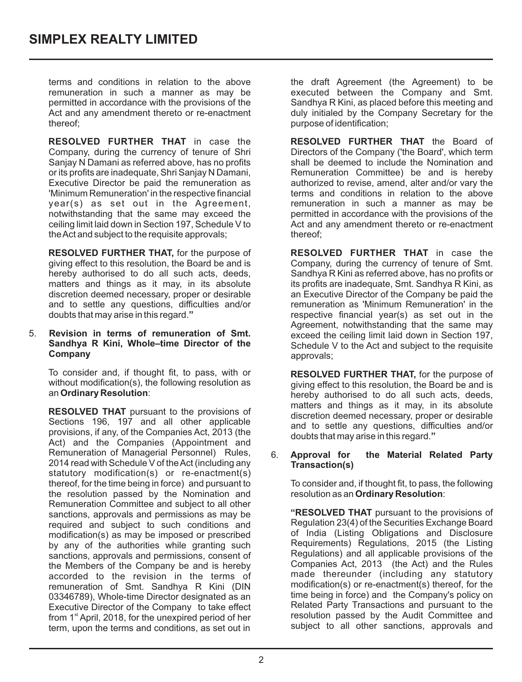terms and conditions in relation to the above remuneration in such a manner as may be permitted in accordance with the provisions of the Act and any amendment thereto or re-enactment thereof;

**RESOLVED FURTHER THAT** in case the Company, during the currency of tenure of Shri Sanjay N Damani as referred above, has no profits or its profits are inadequate, Shri Sanjay N Damani, Executive Director be paid the remuneration as 'Minimum Remuneration' in the respective financial year(s) as set out in the Agreement, notwithstanding that the same may exceed the ceiling limit laid down in Section 197, Schedule V to the Act and subject to the requisite approvals;

**RESOLVED FURTHER THAT,** for the purpose of giving effect to this resolution, the Board be and is hereby authorised to do all such acts, deeds, matters and things as it may, in its absolute discretion deemed necessary, proper or desirable and to settle any questions, difficulties and/or doubts that may arise in this regard.**"**

#### 5. **Revision in terms of remuneration of Smt. Sandhya R Kini, Whole–time Director of the Company**

To consider and, if thought fit, to pass, with or without modification(s), the following resolution as an **Ordinary Resolution**:

**RESOLVED THAT** pursuant to the provisions of Sections 196, 197 and all other applicable provisions, if any, of the Companies Act, 2013 (the Act) and the Companies (Appointment and Remuneration of Managerial Personnel) Rules, 2014 read with Schedule V of the Act (including any statutory modification(s) or re-enactment(s) thereof, for the time being in force) and pursuant to the resolution passed by the Nomination and Remuneration Committee and subject to all other sanctions, approvals and permissions as may be required and subject to such conditions and modification(s) as may be imposed or prescribed by any of the authorities while granting such sanctions, approvals and permissions, consent of the Members of the Company be and is hereby accorded to the revision in the terms of remuneration of Smt. Sandhya R Kini (DIN 03346789), Whole-time Director designated as an Executive Director of the Company to take effect from  $1<sup>st</sup>$  April, 2018, for the unexpired period of her term, upon the terms and conditions, as set out in

the draft Agreement (the Agreement) to be executed between the Company and Smt. Sandhya R Kini, as placed before this meeting and duly initialed by the Company Secretary for the purpose of identification;

**RESOLVED FURTHER THAT** the Board of Directors of the Company ('the Board', which term shall be deemed to include the Nomination and Remuneration Committee) be and is hereby authorized to revise, amend, alter and/or vary the terms and conditions in relation to the above remuneration in such a manner as may be permitted in accordance with the provisions of the Act and any amendment thereto or re-enactment thereof;

**RESOLVED FURTHER THAT** in case the Company, during the currency of tenure of Smt. Sandhya R Kini as referred above, has no profits or its profits are inadequate, Smt. Sandhya R Kini, as an Executive Director of the Company be paid the remuneration as 'Minimum Remuneration' in the respective financial year(s) as set out in the Agreement, notwithstanding that the same may exceed the ceiling limit laid down in Section 197, Schedule V to the Act and subject to the requisite approvals;

**RESOLVED FURTHER THAT,** for the purpose of giving effect to this resolution, the Board be and is hereby authorised to do all such acts, deeds, matters and things as it may, in its absolute discretion deemed necessary, proper or desirable and to settle any questions, difficulties and/or doubts that may arise in this regard.**"**

#### 6. **Approval for the Material Related Party Transaction(s)**

To consider and, if thought fit, to pass, the following resolution as an **Ordinary Resolution**:

**"RESOLVED THAT** pursuant to the provisions of Regulation 23(4) of the Securities Exchange Board of India (Listing Obligations and Disclosure Requirements) Regulations, 2015 (the Listing Regulations) and all applicable provisions of the Companies Act, 2013 (the Act) and the Rules made thereunder (including any statutory modification(s) or re-enactment(s) thereof, for the time being in force) and the Company's policy on Related Party Transactions and pursuant to the resolution passed by the Audit Committee and subject to all other sanctions, approvals and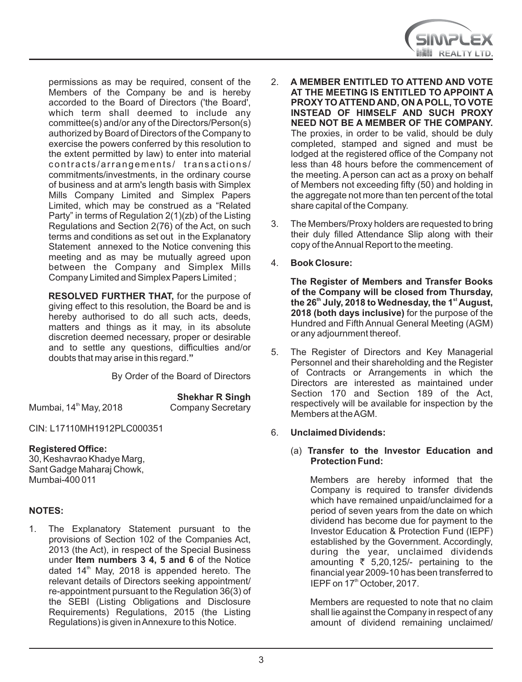

permissions as may be required, consent of the Members of the Company be and is hereby accorded to the Board of Directors ('the Board', which term shall deemed to include any committee(s) and/or any of the Directors/Person(s) authorized by Board of Directors of the Company to exercise the powers conferred by this resolution to the extent permitted by law) to enter into material contracts/arrangements/ transactions/ commitments/investments, in the ordinary course of business and at arm's length basis with Simplex Mills Company Limited and Simplex Papers Limited, which may be construed as a "Related Party" in terms of Regulation 2(1)(zb) of the Listing Regulations and Section 2(76) of the Act, on such terms and conditions as set out in the Explanatory Statement annexed to the Notice convening this meeting and as may be mutually agreed upon between the Company and Simplex Mills Company Limited and Simplex Papers Limited ;

**RESOLVED FURTHER THAT,** for the purpose of giving effect to this resolution, the Board be and is hereby authorised to do all such acts, deeds, matters and things as it may, in its absolute discretion deemed necessary, proper or desirable and to settle any questions, difficulties and/or doubts that may arise in this regard.**"**

By Order of the Board of Directors

Mumbai, 14<sup>th</sup> May, 2018 Company Secretary

**Shekhar R Singh** 

CIN: L17110MH1912PLC000351

## **Registered Office:**

30, Keshavrao Khadye Marg, Sant Gadge Maharaj Chowk, Mumbai-400 011

## **NOTES:**

1. The Explanatory Statement pursuant to the provisions of Section 102 of the Companies Act, 2013 (the Act), in respect of the Special Business under **Item numbers 3 4, 5 and 6** of the Notice dated  $14<sup>th</sup>$  May, 2018 is appended hereto. The relevant details of Directors seeking appointment/ re-appointment pursuant to the Regulation 36(3) of the SEBI (Listing Obligations and Disclosure Requirements) Regulations, 2015 (the Listing Regulations) is given in Annexure to this Notice.

- 2. **A MEMBER ENTITLED TO ATTEND AND VOTE AT THE MEETING IS ENTITLED TO APPOINT A PROXY TO ATTEND AND, ON A POLL, TO VOTE INSTEAD OF HIMSELF AND SUCH PROXY NEED NOT BE A MEMBER OF THE COMPANY.**  The proxies, in order to be valid, should be duly completed, stamped and signed and must be lodged at the registered office of the Company not less than 48 hours before the commencement of the meeting. A person can act as a proxy on behalf of Members not exceeding fifty (50) and holding in the aggregate not more than ten percent of the total share capital of the Company.
- 3. The Members/Proxy holders are requested to bring their duly filled Attendance Slip along with their copy of the Annual Report to the meeting.
- 4. **Book Closure:**

**The Register of Members and Transfer Books of the Company will be closed from Thursday,**  the 26<sup>th</sup> July, 2018 to Wednesday, the 1<sup>st</sup> August, **2018 (both days inclusive)** for the purpose of the Hundred and Fifth Annual General Meeting (AGM) or any adjournment thereof.

- 5. The Register of Directors and Key Managerial Personnel and their shareholding and the Register of Contracts or Arrangements in which the Directors are interested as maintained under Section 170 and Section 189 of the Act, respectively will be available for inspection by the Members at the AGM.
- 6. **Unclaimed Dividends:**

#### (a) **Transfer to the Investor Education and Protection Fund:**

Members are hereby informed that the Company is required to transfer dividends which have remained unpaid/unclaimed for a period of seven years from the date on which dividend has become due for payment to the Investor Education & Protection Fund (IEPF) established by the Government. Accordingly, during the year, unclaimed dividends amounting  $\overline{z}$  5,20,125/- pertaining to the financial year 2009-10 has been transferred to IEPF on 17<sup>th</sup> October, 2017.

Members are requested to note that no claim shall lie against the Company in respect of any amount of dividend remaining unclaimed/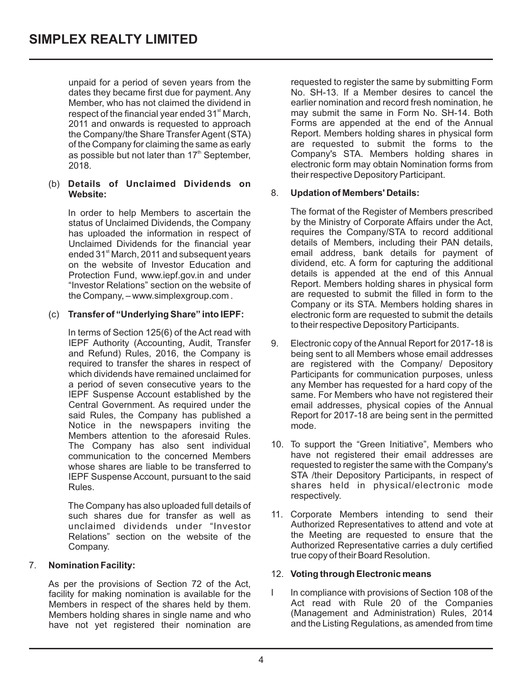unpaid for a period of seven years from the dates they became first due for payment. Any Member, who has not claimed the dividend in respect of the financial year ended 31<sup>st</sup> March. 2011 and onwards is requested to approach the Company/the Share Transfer Agent (STA) of the Company for claiming the same as early as possible but not later than  $17<sup>th</sup>$  September, 2018.

#### (b) **Details of Unclaimed Dividends on Website:**

In order to help Members to ascertain the status of Unclaimed Dividends, the Company has uploaded the information in respect of Unclaimed Dividends for the financial year ended 31<sup>st</sup> March, 2011 and subsequent years on the website of Investor Education and Protection Fund, www.iepf.gov.in and under "Investor Relations" section on the website of the Company, – www.simplexgroup.com .

### (c) **Transfer of "Underlying Share" into IEPF:**

In terms of Section 125(6) of the Act read with IEPF Authority (Accounting, Audit, Transfer and Refund) Rules, 2016, the Company is required to transfer the shares in respect of which dividends have remained unclaimed for a period of seven consecutive years to the IEPF Suspense Account established by the Central Government. As required under the said Rules, the Company has published a Notice in the newspapers inviting the Members attention to the aforesaid Rules. The Company has also sent individual communication to the concerned Members whose shares are liable to be transferred to IEPF Suspense Account, pursuant to the said Rules.

The Company has also uploaded full details of such shares due for transfer as well as unclaimed dividends under "Investor Relations" section on the website of the Company.

## 7. **Nomination Facility:**

As per the provisions of Section 72 of the Act, facility for making nomination is available for the Members in respect of the shares held by them. Members holding shares in single name and who have not yet registered their nomination are requested to register the same by submitting Form No. SH-13. If a Member desires to cancel the earlier nomination and record fresh nomination, he may submit the same in Form No. SH-14. Both Forms are appended at the end of the Annual Report. Members holding shares in physical form are requested to submit the forms to the Company's STA. Members holding shares in electronic form may obtain Nomination forms from their respective Depository Participant.

### 8. **Updation of Members' Details:**

The format of the Register of Members prescribed by the Ministry of Corporate Affairs under the Act, requires the Company/STA to record additional details of Members, including their PAN details, email address, bank details for payment of dividend, etc. A form for capturing the additional details is appended at the end of this Annual Report. Members holding shares in physical form are requested to submit the filled in form to the Company or its STA. Members holding shares in electronic form are requested to submit the details to their respective Depository Participants.

- 9. Electronic copy of the Annual Report for 2017-18 is being sent to all Members whose email addresses are registered with the Company/ Depository Participants for communication purposes, unless any Member has requested for a hard copy of the same. For Members who have not registered their email addresses, physical copies of the Annual Report for 2017-18 are being sent in the permitted mode.
- 10. To support the "Green Initiative", Members who have not registered their email addresses are requested to register the same with the Company's STA /their Depository Participants, in respect of shares held in physical/electronic mode respectively.
- 11. Corporate Members intending to send their Authorized Representatives to attend and vote at the Meeting are requested to ensure that the Authorized Representative carries a duly certified true copy of their Board Resolution.

#### 12. **Voting through Electronic means**

I In compliance with provisions of Section 108 of the Act read with Rule 20 of the Companies (Management and Administration) Rules, 2014 and the Listing Regulations, as amended from time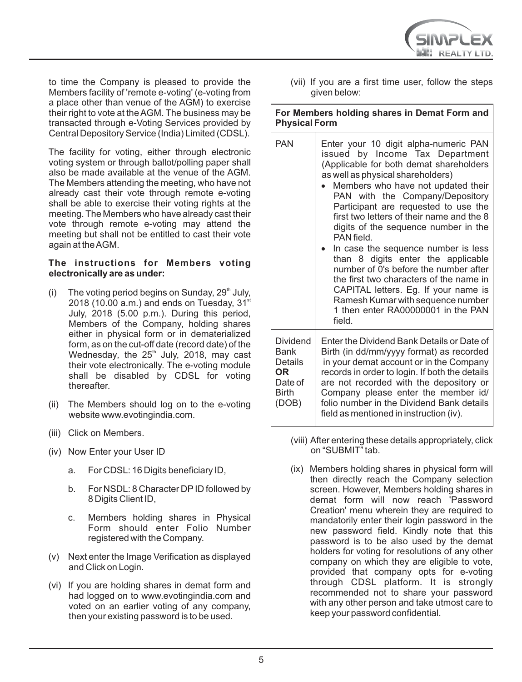

to time the Company is pleased to provide the Members facility of 'remote e-voting' (e-voting from a place other than venue of the AGM) to exercise their right to vote at the AGM. The business may be transacted through e-Voting Services provided by Central Depository Service (India) Limited (CDSL).

The facility for voting, either through electronic voting system or through ballot/polling paper shall also be made available at the venue of the AGM. The Members attending the meeting, who have not already cast their vote through remote e-voting shall be able to exercise their voting rights at the meeting. The Members who have already cast their vote through remote e-voting may attend the meeting but shall not be entitled to cast their vote again at the AGM.

### **The instructions for Members voting electronically are as under:**

- (i) The voting period begins on Sunday,  $29<sup>th</sup>$  July, 2018 (10.00 a.m.) and ends on Tuesday,  $31<sup>st</sup>$ July, 2018 (5.00 p.m.). During this period, Members of the Company, holding shares either in physical form or in dematerialized form, as on the cut-off date (record date) of the Wednesday, the 25<sup>th</sup> July, 2018, may cast their vote electronically. The e-voting module shall be disabled by CDSL for voting thereafter.
- (ii) The Members should log on to the e-voting website www.evotingindia.com.
- (iii) Click on Members.
- (iv) Now Enter your User ID
	- a. For CDSL: 16 Digits beneficiary ID,
	- b. For NSDL: 8 Character DPID followed by 8 Digits Client ID,
	- c. Members holding shares in Physical Form should enter Folio Number registered with the Company.
- (v) Next enter the Image Verification as displayed and Click on Login.
- (vi) If you are holding shares in demat form and had logged on to www.evotingindia.com and voted on an earlier voting of any company, then your existing password is to be used.

(vii) If you are a first time user, follow the steps given below:

**For Members holding shares in Demat Form and Physical Form**

| PAN                                                                    | Enter your 10 digit alpha-numeric PAN<br>issued by Income Tax Department<br>(Applicable for both demat shareholders<br>as well as physical shareholders)<br>Members who have not updated their<br>PAN with the Company/Depository<br>Participant are requested to use the<br>first two letters of their name and the 8<br>digits of the sequence number in the<br>PAN field<br>In case the sequence number is less<br>than 8 digits enter the applicable<br>number of 0's before the number after<br>the first two characters of the name in<br>CAPITAL letters. Eg. If your name is<br>Ramesh Kumar with sequence number<br>1 then enter RA00000001 in the PAN<br>field. |
|------------------------------------------------------------------------|---------------------------------------------------------------------------------------------------------------------------------------------------------------------------------------------------------------------------------------------------------------------------------------------------------------------------------------------------------------------------------------------------------------------------------------------------------------------------------------------------------------------------------------------------------------------------------------------------------------------------------------------------------------------------|
| Dividend<br>Bank<br>Details<br>OR.<br>Date of<br><b>Birth</b><br>(DOB) | Enter the Dividend Bank Details or Date of<br>Birth (in dd/mm/yyyy format) as recorded<br>in your demat account or in the Company<br>records in order to login. If both the details<br>are not recorded with the depository or<br>Company please enter the member id/<br>folio number in the Dividend Bank details<br>field as mentioned in instruction (iv).                                                                                                                                                                                                                                                                                                             |

- (viii) After entering these details appropriately, click on "SUBMIT" tab.
- (ix) Members holding shares in physical form will then directly reach the Company selection screen. However, Members holding shares in demat form will now reach 'Password Creation' menu wherein they are required to mandatorily enter their login password in the new password field. Kindly note that this password is to be also used by the demat holders for voting for resolutions of any other company on which they are eligible to vote, provided that company opts for e-voting through CDSL platform. It is strongly recommended not to share your password with any other person and take utmost care to keep your password confidential.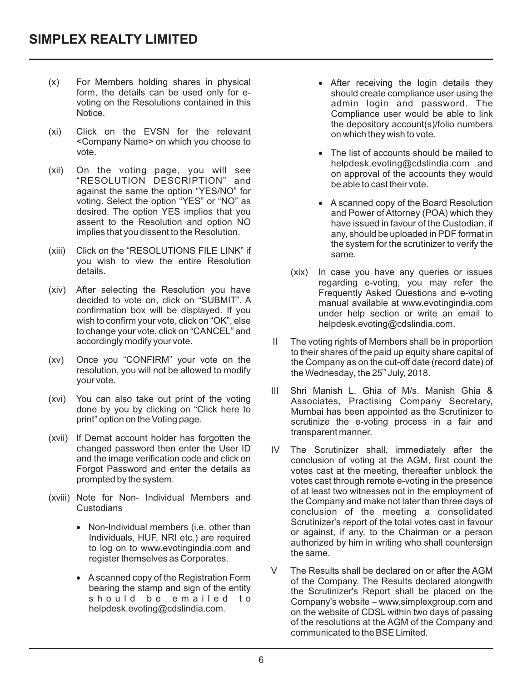- (x) For Members holding shares in physical form, the details can be used only for evoting on the Resolutions contained in this **Notice**
- (xi) Click on the EVSN for the relevant <Company Name> on which you choose to vote.
- (xii) On the voting page, you will see "RESOLUTION DESCRIPTION" and against the same the option "YES/NO" for voting. Select the option "YES" or "NO" as desired. The option YES implies that you assent to the Resolution and option NO implies that you dissent to the Resolution.
- (xiii) Click on the "RESOLUTIONS FILE LINK" if you wish to view the entire Resolution details.
- (xiv) After selecting the Resolution you have decided to vote on, click on "SUBMIT". A confirmation box will be displayed. If you wish to confirm your vote, click on "OK", else to change your vote, click on "CANCEL" and accordingly modify your vote.
- (xv) Once you "CONFIRM" your vote on the resolution, you will not be allowed to modify your vote.
- (xvi) You can also take out print of the voting done by you by clicking on "Click here to print" option on the Voting page.
- (xvii) If Demat account holder has forgotten the changed password then enter the User ID and the image verification code and click on Forgot Password and enter the details as prompted by the system.
- (xviii) Note for Non- Individual Members and Custodians
	- · Non-Individual members (i.e. other than Individuals, HUF, NRI etc.) are required to log on to www.evotingindia.com and register themselves as Corporates.
	- · Ascanned copy of the Registration Form bearing the stamp and sign of the entity should be emailed to helpdesk.evoting@cdslindia.com.
- · After receiving the login details they should create compliance user using the admin login and password. The Compliance user would be able to link the depository account(s)/folio numbers on which they wish to vote.
- The list of accounts should be mailed to helpdesk.evoting@cdslindia.com and on approval of the accounts they would be able to cast their vote.
- · A scanned copy of the Board Resolution and Power of Attorney (POA) which they have issued in favour of the Custodian, if any, should be uploaded in PDF format in the system for the scrutinizer to verify the same.
- (xix) In case you have any queries or issues regarding e-voting, you may refer the Frequently Asked Questions and e-voting manual available at www.evotingindia.com under help section or write an email to helpdesk.evoting@cdslindia.com.
- the Wednesday, the 25<sup>th</sup> July, 2018. II The voting rights of Members shall be in proportion to their shares of the paid up equity share capital of the Company as on the cut-off date (record date) of
- III Shri Manish L. Ghia of M/s. Manish Ghia & Associates, Practising Company Secretary, Mumbai has been appointed as the Scrutinizer to scrutinize the e-voting process in a fair and transparent manner.
- IV The Scrutinizer shall, immediately after the conclusion of voting at the AGM, first count the votes cast at the meeting, thereafter unblock the votes cast through remote e-voting in the presence of at least two witnesses not in the employment of the Company and make not later than three days of conclusion of the meeting a consolidated Scrutinizer's report of the total votes cast in favour or against, if any, to the Chairman or a person authorized by him in writing who shall countersign the same.
- Company's website www.simplexgroup.com and V The Results shall be declared on or after the AGM of the Company. The Results declared alongwith the Scrutinizer's Report shall be placed on the on the website of CDSL within two days of passing of the resolutions at the AGM of the Company and communicated to the BSE Limited.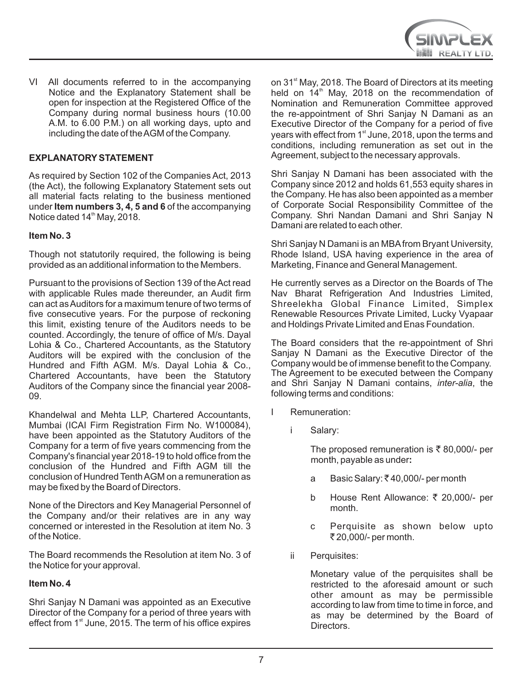

VI All documents referred to in the accompanying Notice and the Explanatory Statement shall be open for inspection at the Registered Office of the Company during normal business hours (10.00 A.M. to 6.00 P.M.) on all working days, upto and including the date of the AGM of the Company.

### **EXPLANATORYSTATEMENT**

As required by Section 102 of the Companies Act, 2013 (the Act), the following Explanatory Statement sets out all material facts relating to the business mentioned under **Item numbers 3, 4, 5 and 6** of the accompanying Notice dated 14<sup>th</sup> May, 2018.

#### **Item No. 3**

Though not statutorily required, the following is being provided as an additional information to the Members.

Pursuant to the provisions of Section 139 of the Act read with applicable Rules made thereunder, an Audit firm can act as Auditors for a maximum tenure of two terms of five consecutive years. For the purpose of reckoning this limit, existing tenure of the Auditors needs to be counted. Accordingly, the tenure of office of M/s. Dayal Lohia & Co., Chartered Accountants, as the Statutory Auditors will be expired with the conclusion of the Hundred and Fifth AGM. M/s. Dayal Lohia & Co., Chartered Accountants, have been the Statutory Auditors of the Company since the financial year 2008- 09.

Khandelwal and Mehta LLP, Chartered Accountants, Mumbai (ICAI Firm Registration Firm No. W100084), have been appointed as the Statutory Auditors of the Company for a term of five years commencing from the Company's financial year 2018-19 to hold office from the conclusion of the Hundred and Fifth AGM till the conclusion of Hundred Tenth AGM on a remuneration as may be fixed by the Board of Directors.

None of the Directors and Key Managerial Personnel of the Company and/or their relatives are in any way concerned or interested in the Resolution at item No. 3 of the Notice.

The Board recommends the Resolution at item No. 3 of the Notice for your approval.

#### **Item No. 4**

Shri Sanjay N Damani was appointed as an Executive Director of the Company for a period of three years with effect from 1<sup>st</sup> June, 2015. The term of his office expires

on 31<sup>st</sup> May, 2018. The Board of Directors at its meeting held on  $14<sup>th</sup>$  May, 2018 on the recommendation of Nomination and Remuneration Committee approved the re-appointment of Shri Sanjay N Damani as an Executive Director of the Company for a period of five vears with effect from 1<sup>st</sup> June, 2018, upon the terms and conditions, including remuneration as set out in the Agreement, subject to the necessary approvals.

Shri Sanjay N Damani has been associated with the Company since 2012 and holds 61,553 equity shares in the Company. He has also been appointed as a member of Corporate Social Responsibility Committee of the Company. Shri Nandan Damani and Shri Sanjay N Damani are related to each other.

Shri Sanjay N Damani is an MBAfrom Bryant University, Rhode Island, USA having experience in the area of Marketing, Finance and General Management.

He currently serves as a Director on the Boards of The Nav Bharat Refrigeration And Industries Limited, Shreelekha Global Finance Limited, Simplex Renewable Resources Private Limited, Lucky Vyapaar and Holdings Private Limited and Enas Foundation.

The Board considers that the re-appointment of Shri Sanjay N Damani as the Executive Director of the Company would be of immense benefit to the Company. The Agreement to be executed between the Company and Shri Sanjay N Damani contains, *inter-alia*, the following terms and conditions:

- I Remuneration:
	- Salary:

The proposed remuneration is  $\bar{\tau}$  80,000/- per month, payable as under**:** 

- a Basic Salary: ₹40,000/- per month
- b House Rent Allowance: ₹ 20,000/- per month.
- c Perquisite as shown below upto ₹20,000/- per month.
- ii Perquisites:

Monetary value of the perquisites shall be restricted to the aforesaid amount or such other amount as may be permissible according to law from time to time in force, and as may be determined by the Board of Directors.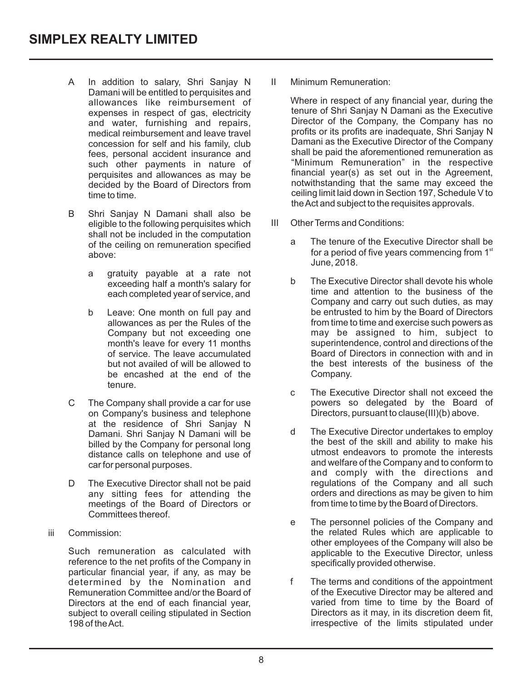- A In addition to salary, Shri Sanjay N Damani will be entitled to perquisites and allowances like reimbursement of expenses in respect of gas, electricity and water, furnishing and repairs, medical reimbursement and leave travel concession for self and his family, club fees, personal accident insurance and such other payments in nature of perquisites and allowances as may be decided by the Board of Directors from time to time.
- B Shri Sanjay N Damani shall also be eligible to the following perquisites which shall not be included in the computation of the ceiling on remuneration specified above:
	- a gratuity payable at a rate not exceeding half a month's salary for each completed year of service, and
	- b Leave: One month on full pay and allowances as per the Rules of the Company but not exceeding one month's leave for every 11 months of service. The leave accumulated but not availed of will be allowed to be encashed at the end of the tenure.
- C The Company shall provide a car for use on Company's business and telephone at the residence of Shri Sanjay N Damani. Shri Sanjay N Damani will be billed by the Company for personal long distance calls on telephone and use of car for personal purposes.
- D The Executive Director shall not be paid any sitting fees for attending the meetings of the Board of Directors or Committees thereof.
- iii Commission:

Such remuneration as calculated with reference to the net profits of the Company in particular financial year, if any, as may be determined by the Nomination and Remuneration Committee and/or the Board of Directors at the end of each financial year, subject to overall ceiling stipulated in Section 198 of the Act.

II Minimum Remuneration:

Where in respect of any financial year, during the tenure of Shri Sanjay N Damani as the Executive Director of the Company, the Company has no profits or its profits are inadequate, Shri Sanjay N Damani as the Executive Director of the Company shall be paid the aforementioned remuneration as "Minimum Remuneration" in the respective financial year(s) as set out in the Agreement, notwithstanding that the same may exceed the ceiling limit laid down in Section 197, Schedule V to the Act and subject to the requisites approvals.

- III Other Terms and Conditions:
	- a The tenure of the Executive Director shall be for a period of five years commencing from  $1<sup>st</sup>$ June, 2018.
	- b The Executive Director shall devote his whole time and attention to the business of the Company and carry out such duties, as may be entrusted to him by the Board of Directors from time to time and exercise such powers as may be assigned to him, subject to superintendence, control and directions of the Board of Directors in connection with and in the best interests of the business of the Company.
	- c The Executive Director shall not exceed the powers so delegated by the Board of Directors, pursuant to clause(III)(b) above.
	- d The Executive Director undertakes to employ the best of the skill and ability to make his utmost endeavors to promote the interests and welfare of the Company and to conform to and comply with the directions and regulations of the Company and all such orders and directions as may be given to him from time to time by the Board of Directors.
	- e The personnel policies of the Company and the related Rules which are applicable to other employees of the Company will also be applicable to the Executive Director, unless specifically provided otherwise.
	- f The terms and conditions of the appointment of the Executive Director may be altered and varied from time to time by the Board of Directors as it may, in its discretion deem fit, irrespective of the limits stipulated under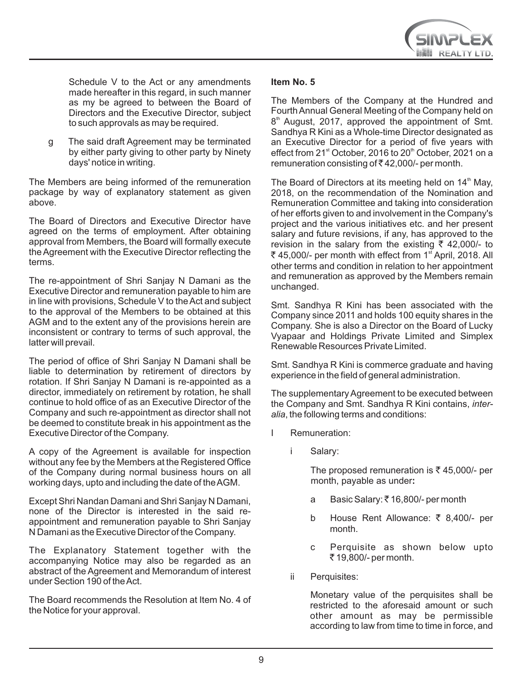

Schedule V to the Act or any amendments made hereafter in this regard, in such manner as my be agreed to between the Board of Directors and the Executive Director, subject to such approvals as may be required.

g The said draft Agreement may be terminated by either party giving to other party by Ninety days' notice in writing.

The Members are being informed of the remuneration package by way of explanatory statement as given above.

The Board of Directors and Executive Director have agreed on the terms of employment. After obtaining approval from Members, the Board will formally execute the Agreement with the Executive Director reflecting the terms.

The re-appointment of Shri Sanjay N Damani as the Executive Director and remuneration payable to him are in line with provisions, Schedule V to the Act and subject to the approval of the Members to be obtained at this AGM and to the extent any of the provisions herein are inconsistent or contrary to terms of such approval, the latter will prevail.

The period of office of Shri Sanjay N Damani shall be liable to determination by retirement of directors by rotation. If Shri Sanjay N Damani is re-appointed as a director, immediately on retirement by rotation, he shall continue to hold office of as an Executive Director of the Company and such re-appointment as director shall not be deemed to constitute break in his appointment as the Executive Director of the Company.

A copy of the Agreement is available for inspection without any fee by the Members at the Registered Office of the Company during normal business hours on all working days, upto and including the date of the AGM.

Except Shri Nandan Damani and Shri Sanjay N Damani, none of the Director is interested in the said reappointment and remuneration payable to Shri Sanjay N Damani as the Executive Director of the Company.

The Explanatory Statement together with the accompanying Notice may also be regarded as an abstract of the Agreement and Memorandum of interest under Section 190 of the Act.

The Board recommends the Resolution at Item No. 4 of the Notice for your approval.

### **Item No. 5**

The Members of the Company at the Hundred and Fourth Annual General Meeting of the Company held on 8<sup>th</sup> August, 2017, approved the appointment of Smt. Sandhya R Kini as a Whole-time Director designated as an Executive Director for a period of five years with effect from 21<sup>st</sup> October, 2016 to 20<sup>th</sup> October, 2021 on a remuneration consisting of  $\overline{\xi}$  42,000/- per month.

The Board of Directors at its meeting held on 14<sup>th</sup> May, 2018, on the recommendation of the Nomination and Remuneration Committee and taking into consideration of her efforts given to and involvement in the Company's project and the various initiatives etc. and her present salary and future revisions, if any, has approved to the revision in the salary from the existing  $\bar{\tau}$  42,000/- to ₹ 45,000/- per month with effect from 1<sup>st</sup> April, 2018. All other terms and condition in relation to her appointment and remuneration as approved by the Members remain unchanged.

Smt. Sandhya R Kini has been associated with the Company since 2011 and holds 100 equity shares in the Company. She is also a Director on the Board of Lucky Vyapaar and Holdings Private Limited and Simplex Renewable Resources Private Limited.

Smt. Sandhya R Kini is commerce graduate and having experience in the field of general administration.

The supplementary Agreement to be executed between the Company and Smt. Sandhya R Kini contains, *interalia*, the following terms and conditions:

- I Remuneration:
	- Salary:

The proposed remuneration is  $\bar{\tau}$  45,000/- per month, payable as under**:** 

- a Basic Salary: ₹16,800/- per month
- b House Rent Allowance: ₹ 8,400/- per month.
- c Perquisite as shown below upto ` 19,800/- per month.
- ii Perquisites:

Monetary value of the perquisites shall be restricted to the aforesaid amount or such other amount as may be permissible according to law from time to time in force, and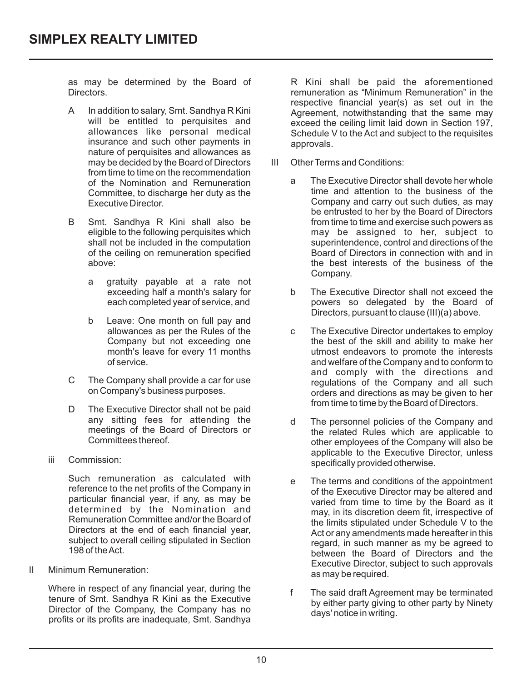as may be determined by the Board of Directors.

- A In addition to salary, Smt. Sandhya R Kini will be entitled to perquisites and allowances like personal medical insurance and such other payments in nature of perquisites and allowances as may be decided by the Board of Directors from time to time on the recommendation of the Nomination and Remuneration Committee, to discharge her duty as the Executive Director.
- B Smt. Sandhya R Kini shall also be eligible to the following perquisites which shall not be included in the computation of the ceiling on remuneration specified above:
	- a gratuity payable at a rate not exceeding half a month's salary for each completed year of service, and
	- b Leave: One month on full pay and allowances as per the Rules of the Company but not exceeding one month's leave for every 11 months of service.
- C The Company shall provide a car for use on Company's business purposes.
- D The Executive Director shall not be paid any sitting fees for attending the meetings of the Board of Directors or Committees thereof.
- iii Commission:

Such remuneration as calculated with reference to the net profits of the Company in particular financial year, if any, as may be determined by the Nomination and Remuneration Committee and/or the Board of Directors at the end of each financial year, subject to overall ceiling stipulated in Section 198 of the Act.

II Minimum Remuneration:

Where in respect of any financial year, during the tenure of Smt. Sandhya R Kini as the Executive Director of the Company, the Company has no profits or its profits are inadequate, Smt. Sandhya

R Kini shall be paid the aforementioned remuneration as "Minimum Remuneration" in the respective financial year(s) as set out in the Agreement, notwithstanding that the same may exceed the ceiling limit laid down in Section 197, Schedule V to the Act and subject to the requisites approvals.

- III Other Terms and Conditions:
	- a The Executive Director shall devote her whole time and attention to the business of the Company and carry out such duties, as may be entrusted to her by the Board of Directors from time to time and exercise such powers as may be assigned to her, subject to superintendence, control and directions of the Board of Directors in connection with and in the best interests of the business of the Company.
	- b The Executive Director shall not exceed the powers so delegated by the Board of Directors, pursuant to clause (III)(a) above.
	- c The Executive Director undertakes to employ the best of the skill and ability to make her utmost endeavors to promote the interests and welfare of the Company and to conform to and comply with the directions and regulations of the Company and all such orders and directions as may be given to her from time to time by the Board of Directors.
	- d The personnel policies of the Company and the related Rules which are applicable to other employees of the Company will also be applicable to the Executive Director, unless specifically provided otherwise.
	- e The terms and conditions of the appointment of the Executive Director may be altered and varied from time to time by the Board as it may, in its discretion deem fit, irrespective of the limits stipulated under Schedule V to the Act or any amendments made hereafter in this regard, in such manner as my be agreed to between the Board of Directors and the Executive Director, subject to such approvals as may be required.
	- f The said draft Agreement may be terminated by either party giving to other party by Ninety days' notice in writing.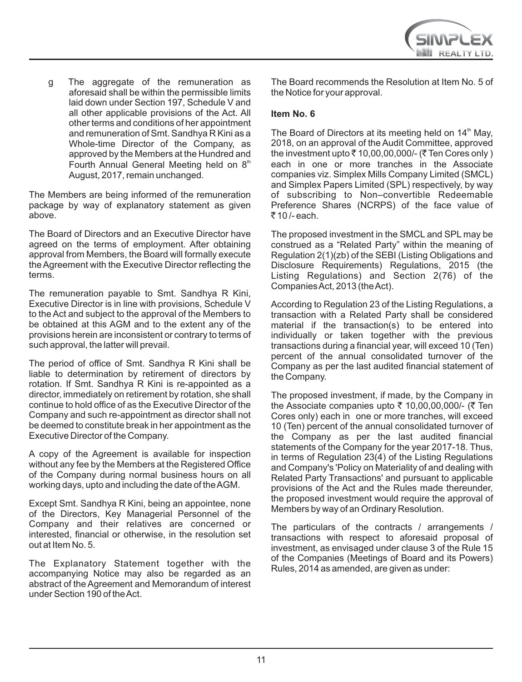g The aggregate of the remuneration as aforesaid shall be within the permissible limits laid down under Section 197, Schedule V and all other applicable provisions of the Act. All other terms and conditions of her appointment and remuneration of Smt. Sandhya R Kini as a Whole-time Director of the Company, as approved by the Members at the Hundred and Fourth Annual General Meeting held on  $8<sup>th</sup>$ August, 2017, remain unchanged.

The Members are being informed of the remuneration package by way of explanatory statement as given above.

The Board of Directors and an Executive Director have agreed on the terms of employment. After obtaining approval from Members, the Board will formally execute the Agreement with the Executive Director reflecting the terms.

The remuneration payable to Smt. Sandhya R Kini, Executive Director is in line with provisions, Schedule V to the Act and subject to the approval of the Members to be obtained at this AGM and to the extent any of the provisions herein are inconsistent or contrary to terms of such approval, the latter will prevail.

The period of office of Smt. Sandhya R Kini shall be liable to determination by retirement of directors by rotation. If Smt. Sandhya R Kini is re-appointed as a director, immediately on retirement by rotation, she shall continue to hold office of as the Executive Director of the Company and such re-appointment as director shall not be deemed to constitute break in her appointment as the Executive Director of the Company.

A copy of the Agreement is available for inspection without any fee by the Members at the Registered Office of the Company during normal business hours on all working days, upto and including the date of the AGM.

Except Smt. Sandhya R Kini, being an appointee, none of the Directors, Key Managerial Personnel of the Company and their relatives are concerned or interested, financial or otherwise, in the resolution set out at Item No. 5.

The Explanatory Statement together with the accompanying Notice may also be regarded as an abstract of the Agreement and Memorandum of interest under Section 190 of the Act.

The Board recommends the Resolution at Item No. 5 of the Notice for your approval.

## **Item No. 6**

The Board of Directors at its meeting held on 14<sup>th</sup> May, 2018, on an approval of the Audit Committee, approved the investment upto  $\bar{\tau}$  10,00,00,000/- ( $\bar{\tau}$  Ten Cores only ) each in one or more tranches in the Associate companies viz. Simplex Mills Company Limited (SMCL) and Simplex Papers Limited (SPL) respectively, by way of subscribing to Non–convertible Redeemable Preference Shares (NCRPS) of the face value of  $\overline{z}$  10 /- each.

The proposed investment in the SMCL and SPL may be construed as a "Related Party" within the meaning of Regulation 2(1)(zb) of the SEBI (Listing Obligations and Disclosure Requirements) Regulations, 2015 (the Listing Regulations) and Section 2(76) of the Companies Act, 2013 (the Act).

According to Regulation 23 of the Listing Regulations, a transaction with a Related Party shall be considered material if the transaction(s) to be entered into individually or taken together with the previous transactions during a financial year, will exceed 10 (Ten) percent of the annual consolidated turnover of the Company as per the last audited financial statement of the Company.

The proposed investment, if made, by the Company in the Associate companies upto  $\bar{\tau}$  10,00,00,000/- ( $\bar{\tau}$  Ten Cores only) each in one or more tranches, will exceed 10 (Ten) percent of the annual consolidated turnover of the Company as per the last audited financial statements of the Company for the year 2017-18. Thus, in terms of Regulation 23(4) of the Listing Regulations and Company's 'Policy on Materiality of and dealing with Related Party Transactions' and pursuant to applicable provisions of the Act and the Rules made thereunder, the proposed investment would require the approval of Members by way of an Ordinary Resolution.

The particulars of the contracts / arrangements / transactions with respect to aforesaid proposal of investment, as envisaged under clause 3 of the Rule 15 of the Companies (Meetings of Board and its Powers) Rules, 2014 as amended, are given as under: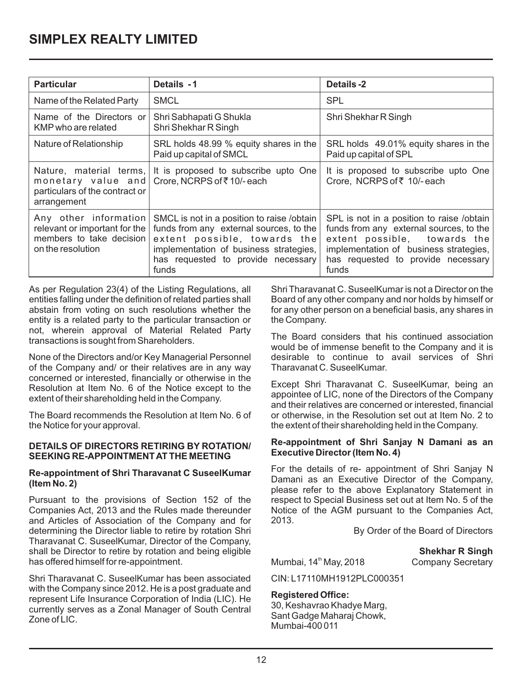| <b>Particular</b>                                                                                       | Details -1                                                                                                                                                                                                     | Details -2                                                                                                                                                                                                    |
|---------------------------------------------------------------------------------------------------------|----------------------------------------------------------------------------------------------------------------------------------------------------------------------------------------------------------------|---------------------------------------------------------------------------------------------------------------------------------------------------------------------------------------------------------------|
| Name of the Related Party                                                                               | <b>SMCL</b>                                                                                                                                                                                                    | <b>SPL</b>                                                                                                                                                                                                    |
| Name of the Directors or<br>KMP who are related                                                         | Shri Sabhapati G Shukla<br>Shri Shekhar R Singh                                                                                                                                                                | Shri Shekhar R Singh                                                                                                                                                                                          |
| Nature of Relationship                                                                                  | SRL holds 48.99 % equity shares in the<br>Paid up capital of SMCL                                                                                                                                              | SRL holds 49.01% equity shares in the<br>Paid up capital of SPL                                                                                                                                               |
| monetary value and<br>particulars of the contract or<br>arrangement                                     | Nature, material terms, It is proposed to subscribe upto One<br>Crore, NCRPS of ₹10/-each                                                                                                                      | It is proposed to subscribe upto One<br>Crore, NCRPS of ₹ 10/-each                                                                                                                                            |
| Any other information<br>relevant or important for the<br>members to take decision<br>on the resolution | SMCL is not in a position to raise /obtain<br>funds from any external sources, to the<br>extent possible, towards the<br>implementation of business strategies,<br>has requested to provide necessary<br>funds | SPL is not in a position to raise /obtain<br>funds from any external sources, to the<br>extent possible, towards the<br>implementation of business strategies,<br>has requested to provide necessary<br>funds |

As per Regulation 23(4) of the Listing Regulations, all entities falling under the definition of related parties shall abstain from voting on such resolutions whether the entity is a related party to the particular transaction or not, wherein approval of Material Related Party transactions is sought from Shareholders.

None of the Directors and/or Key Managerial Personnel of the Company and/ or their relatives are in any way concerned or interested, financially or otherwise in the Resolution at Item No. 6 of the Notice except to the extent of their shareholding held in the Company.

The Board recommends the Resolution at Item No. 6 of the Notice for your approval.

#### **DETAILS OF DIRECTORS RETIRING BY ROTATION/ SEEKING RE-APPOINTMENT AT THE MEETING**

#### **Re-appointment of Shri Tharavanat C SuseelKumar (Item No. 2)**

Pursuant to the provisions of Section 152 of the Companies Act, 2013 and the Rules made thereunder and Articles of Association of the Company and for determining the Director liable to retire by rotation Shri Tharavanat C. SuseelKumar, Director of the Company, shall be Director to retire by rotation and being eligible has offered himself for re-appointment.

Shri Tharavanat C. SuseelKumar has been associated with the Company since 2012. He is a post graduate and represent Life Insurance Corporation of India (LIC). He currently serves as a Zonal Manager of South Central Zone of LIC.

Shri Tharavanat C. SuseelKumar is not a Director on the Board of any other company and nor holds by himself or for any other person on a beneficial basis, any shares in the Company.

The Board considers that his continued association would be of immense benefit to the Company and it is desirable to continue to avail services of Shri Tharavanat C. SuseelKumar.

Except Shri Tharavanat C. SuseelKumar, being an appointee of LIC, none of the Directors of the Company and their relatives are concerned or interested, financial or otherwise, in the Resolution set out at Item No. 2 to the extent of their shareholding held in the Company.

#### **Re-appointment of Shri Sanjay N Damani as an Executive Director (Item No. 4)**

For the details of re- appointment of Shri Sanjay N Damani as an Executive Director of the Company, please refer to the above Explanatory Statement in respect to Special Business set out at Item No. 5 of the Notice of the AGM pursuant to the Companies Act, 2013.

By Order of the Board of Directors

**Shekhar R Singh** 

Mumbai, 14<sup>th</sup> May, 2018 Company Secretary

CIN: L17110MH1912PLC000351

## **Registered Office:**

30, Keshavrao Khadye Marg, Sant Gadge Maharaj Chowk, Mumbai-400 011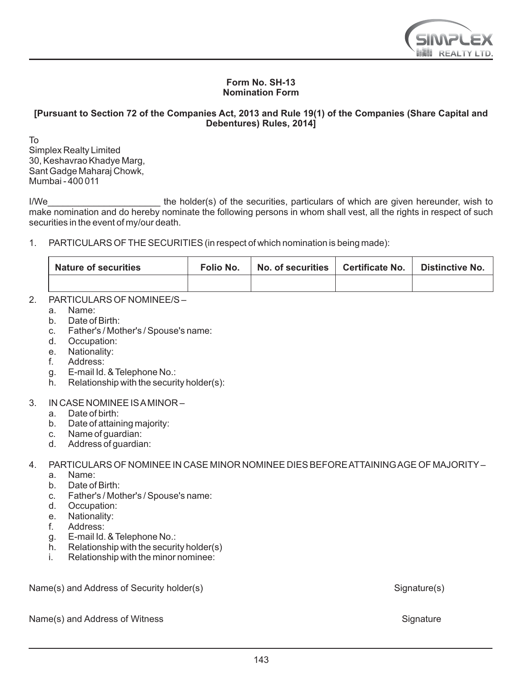

#### **Form No. SH-13 Nomination Form**

#### **[Pursuant to Section 72 of the Companies Act, 2013 and Rule 19(1) of the Companies (Share Capital and Debentures) Rules, 2014]**

To Simplex Realty Limited 30, Keshavrao Khadye Marg, Sant Gadge Maharaj Chowk, Mumbai - 400 011

I/We\_\_\_\_\_\_\_\_\_\_\_\_\_\_\_\_\_\_\_\_\_\_ the holder(s) of the securities, particulars of which are given hereunder, wish to make nomination and do hereby nominate the following persons in whom shall vest, all the rights in respect of such securities in the event of my/our death.

1. PARTICULARS OF THE SECURITIES (in respect of which nomination is being made):

| <b>Nature of securities</b> | Folio No. | No. of securities L Certificate No. | <b>Distinctive No.</b> |
|-----------------------------|-----------|-------------------------------------|------------------------|
|                             |           |                                     |                        |

## 2 PARTICULARS OF NOMINEE/S-

- a. Name:<br>b. Date of
- Date of Birth:
- c. Father's / Mother's / Spouse's name:
- d. Occupation:
- e. Nationality:<br>f. Address:
- Address:
- g. E-mail Id. & Telephone No.:
- h. Relationship with the security holder(s):

## 3. IN CASE NOMINEE IS AMINOR –

- a. Date of birth:<br>b. Date of attain
- Date of attaining majority:
- c. Name of guardian:
- d. Address of guardian:

## 4. PARTICULARS OF NOMINEE IN CASE MINOR NOMINEE DIES BEFORE ATTAINING AGE OF MAJORITY–

- a. Name:<br>b. Date of
- Date of Birth:
- c. Father's / Mother's / Spouse's name:<br>d. Occupation:
- Occupation:
- e. Nationality:<br>f Address:
- Address:
- g. E-mail Id. & Telephone No.:
- h. Relationship with the security holder(s)
- Relationship with the minor nominee:

Name(s) and Address of Security holder(s) Signature(s) Signature(s)

Name(s) and Address of Witness School and Address Signature Signature Signature Signature Signature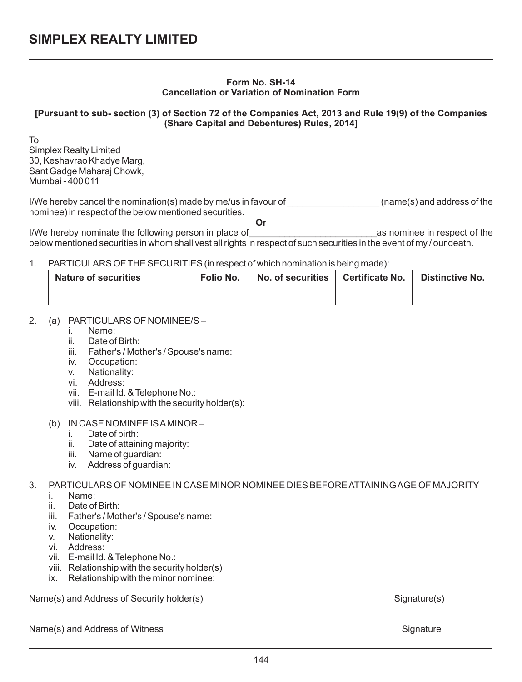#### **Form No. SH-14 Cancellation or Variation of Nomination Form**

## **[Pursuant to sub- section (3) of Section 72 of the Companies Act, 2013 and Rule 19(9) of the Companies (Share Capital and Debentures) Rules, 2014]**

To Simplex Realty Limited 30, Keshavrao Khadye Marg, Sant Gadge Maharaj Chowk, Mumbai - 400 011

I/We hereby cancel the nomination(s) made by me/us in favour of  $\Box$  (name(s) and address of the nominee) in respect of the below mentioned securities. **Or**

I/We hereby nominate the following person in place of example the section of the sect of the sect of the sect of the below mentioned securities in whom shall vest all rights in respect of such securities in the event of my / our death.

#### 1. PARTICULARS OF THE SECURITIES (in respect of which nomination is being made):

| Nature of securities | Folio No. | No. of securities | Certificate No. | Distinctive No. |
|----------------------|-----------|-------------------|-----------------|-----------------|
|                      |           |                   |                 |                 |

## 2. (a) PARTICULARS OF NOMINEE/S –

- i. Name:
- ii. Date of Birth:<br>iii Father's / Mot
- Father's / Mother's / Spouse's name:
- iv. Occupation:<br>v. Nationality:
- Nationality:
- vi. Address:
- vii. E-mail Id. & Telephone No.:
- viii. Relationship with the security holder(s):

#### (b) IN CASE NOMINEE IS AMINOR –

- i. Date of birth:
- ii. Date of attaining majority:
- iii. Name of guardian:
- iv. Address of guardian:

# 3. PARTICULARS OF NOMINEE IN CASE MINOR NOMINEE DIES BEFORE ATTAINING AGE OF MAJORITY–

- i. Name:
- Date of Birth:
- iii. Father's / Mother's / Spouse's name:
- iv. Occupation:
- v. Nationality:
- vi. Address:
- vii. E-mail Id. & Telephone No.:
- viii. Relationship with the security holder(s)
- ix. Relationship with the minor nominee:

Name(s) and Address of Security holder(s) Signature(s) Signature(s)

Name(s) and Address of Witness School and Address Signature Signature Signature Signature Signature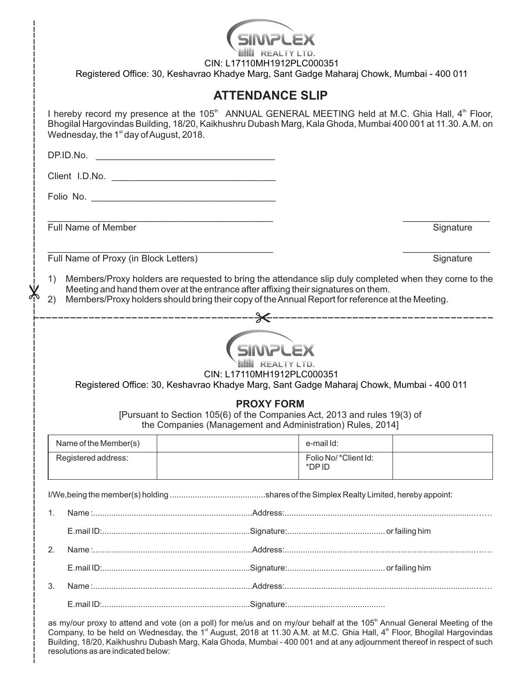|                                                                                                                                                              |                                                                                                                                                                                                                                                                                                              |                                       | CIN: L17110MH1912PLC000351<br>Registered Office: 30, Keshavrao Khadye Marg, Sant Gadge Maharaj Chowk, Mumbai - 400 011 |                               |           |
|--------------------------------------------------------------------------------------------------------------------------------------------------------------|--------------------------------------------------------------------------------------------------------------------------------------------------------------------------------------------------------------------------------------------------------------------------------------------------------------|---------------------------------------|------------------------------------------------------------------------------------------------------------------------|-------------------------------|-----------|
|                                                                                                                                                              |                                                                                                                                                                                                                                                                                                              |                                       | <b>ATTENDANCE SLIP</b>                                                                                                 |                               |           |
|                                                                                                                                                              | I hereby record my presence at the 105 <sup>th</sup> ANNUAL GENERAL MEETING held at M.C. Ghia Hall, 4 <sup>th</sup> Floor,<br>Bhogilal Hargovindas Building, 18/20, Kaikhushru Dubash Marg, Kala Ghoda, Mumbai 400 001 at 11.30. A.M. on<br>Wednesday, the 1 <sup>st</sup> day of August, 2018.              |                                       |                                                                                                                        |                               |           |
|                                                                                                                                                              |                                                                                                                                                                                                                                                                                                              |                                       |                                                                                                                        |                               |           |
|                                                                                                                                                              |                                                                                                                                                                                                                                                                                                              |                                       |                                                                                                                        |                               |           |
|                                                                                                                                                              |                                                                                                                                                                                                                                                                                                              |                                       |                                                                                                                        |                               |           |
|                                                                                                                                                              |                                                                                                                                                                                                                                                                                                              |                                       |                                                                                                                        |                               |           |
|                                                                                                                                                              |                                                                                                                                                                                                                                                                                                              | Full Name of Member                   |                                                                                                                        |                               | Signature |
|                                                                                                                                                              |                                                                                                                                                                                                                                                                                                              | Full Name of Proxy (in Block Letters) |                                                                                                                        |                               | Signature |
|                                                                                                                                                              | Members/Proxy holders are requested to bring the attendance slip duly completed when they come to the<br>1)<br>Meeting and hand them over at the entrance after affixing their signatures on them.<br>Members/Proxy holders should bring their copy of the Annual Report for reference at the Meeting.<br>2) |                                       |                                                                                                                        |                               |           |
|                                                                                                                                                              |                                                                                                                                                                                                                                                                                                              |                                       |                                                                                                                        |                               |           |
|                                                                                                                                                              |                                                                                                                                                                                                                                                                                                              |                                       | CIN: L17110MH1912PLC000351<br>Registered Office: 30, Keshavrao Khadye Marg, Sant Gadge Maharaj Chowk, Mumbai - 400 011 |                               |           |
| <b>PROXY FORM</b><br>[Pursuant to Section 105(6) of the Companies Act, 2013 and rules 19(3) of<br>the Companies (Management and Administration) Rules, 2014] |                                                                                                                                                                                                                                                                                                              |                                       |                                                                                                                        |                               |           |
|                                                                                                                                                              |                                                                                                                                                                                                                                                                                                              | Name of the Member(s)                 |                                                                                                                        | e-mail Id:                    |           |
|                                                                                                                                                              |                                                                                                                                                                                                                                                                                                              | Registered address:                   |                                                                                                                        | Folio No/*Client Id:<br>*DPID |           |
| 1.                                                                                                                                                           |                                                                                                                                                                                                                                                                                                              |                                       |                                                                                                                        |                               |           |
|                                                                                                                                                              |                                                                                                                                                                                                                                                                                                              |                                       |                                                                                                                        |                               |           |
|                                                                                                                                                              |                                                                                                                                                                                                                                                                                                              |                                       |                                                                                                                        |                               |           |
|                                                                                                                                                              | 2.                                                                                                                                                                                                                                                                                                           |                                       |                                                                                                                        |                               |           |
|                                                                                                                                                              |                                                                                                                                                                                                                                                                                                              |                                       |                                                                                                                        |                               |           |
|                                                                                                                                                              | 3.                                                                                                                                                                                                                                                                                                           |                                       |                                                                                                                        |                               |           |
|                                                                                                                                                              |                                                                                                                                                                                                                                                                                                              |                                       |                                                                                                                        |                               |           |

as my/our proxy to attend and vote (on a poll) for me/us and on my/our behalf at the 105<sup>th</sup> Annual General Meeting of the Company, to be held on Wednesday, the 1<sup>st</sup> August, 2018 at 11.30 A.M. at M.C. Ghia Hall, 4<sup>th</sup> Floor, Bhogilal Hargovindas Building, 18/20, Kaikhushru Dubash Marg, Kala Ghoda, Mumbai - 400 001 and at any adjournment thereof in respect of such resolutions as are indicated below: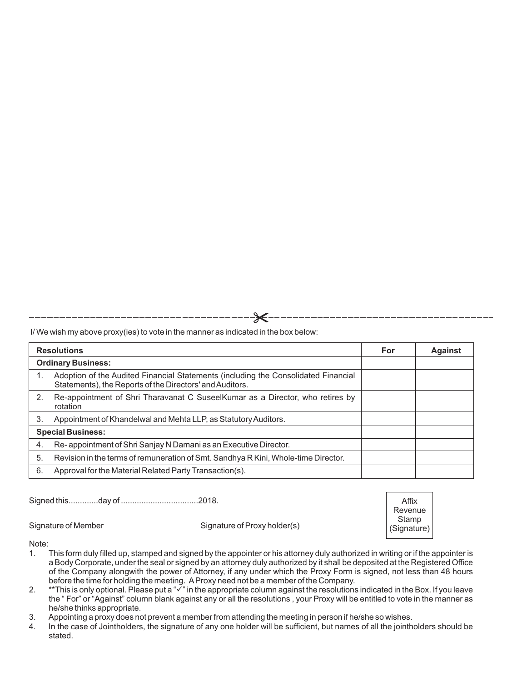I/ We wish my above proxy(ies) to vote in the manner as indicated in the box below:

| <b>Resolutions</b> |                                                                                                                                                |  | <b>Against</b> |
|--------------------|------------------------------------------------------------------------------------------------------------------------------------------------|--|----------------|
|                    | <b>Ordinary Business:</b>                                                                                                                      |  |                |
|                    | Adoption of the Audited Financial Statements (including the Consolidated Financial<br>Statements), the Reports of the Directors' and Auditors. |  |                |
| 2.                 | Re-appointment of Shri Tharavanat C SuseelKumar as a Director, who retires by<br>rotation                                                      |  |                |
| 3.                 | Appointment of Khandelwal and Mehta LLP, as Statutory Auditors.                                                                                |  |                |
|                    | <b>Special Business:</b>                                                                                                                       |  |                |
| 4.                 | Re-appointment of Shri Sanjay N Damani as an Executive Director.                                                                               |  |                |
| 5.                 | Revision in the terms of remuneration of Smt. Sandhya R Kini, Whole-time Director.                                                             |  |                |
| 6.                 | Approval for the Material Related Party Transaction(s).                                                                                        |  |                |

Signed this.............day of ..................................2018.

Signature of Member Signature of Proxy holder(s)

Note:<br>1.

- This form duly filled up, stamped and signed by the appointer or his attorney duly authorized in writing or if the appointer is a Body Corporate, under the seal or signed by an attorney duly authorized by it shall be deposited at the Registered Office of the Company alongwith the power of Attorney, if any under which the Proxy Form is signed, not less than 48 hours before the time for holding the meeting. AProxy need not be a member of the Company.
- 2.  $*$ This is only optional. Please put a " $\bar{v}$ " in the appropriate column against the resolutions indicated in the Box. If you leave the " For" or "Against" column blank against any or all the resolutions , your Proxy will be entitled to vote in the manner as he/she thinks appropriate.
- 3. Appointing a proxy does not prevent a member from attending the meeting in person if he/she so wishes.<br>4. In the case of Jointholders, the signature of any one holder will be sufficient, but names of all the iointh
- In the case of Jointholders, the signature of any one holder will be sufficient, but names of all the jointholders should be stated.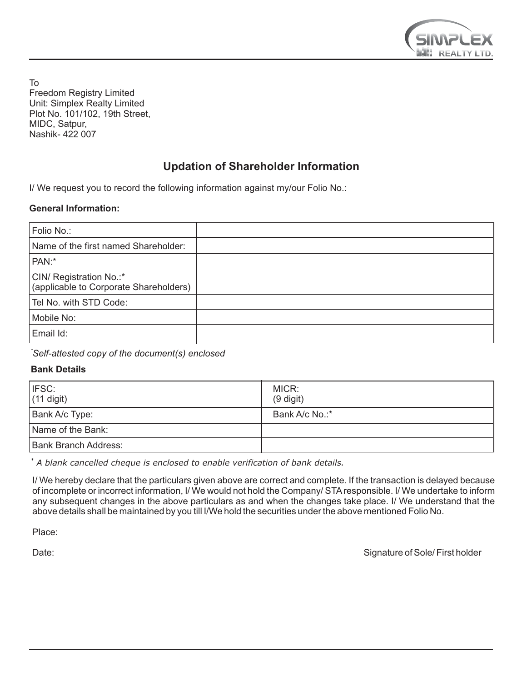

To Freedom Registry Limited Unit: Simplex Realty Limited Plot No. 101/102, 19th Street, MIDC, Satpur, Nashik- 422 007

## **Updation of Shareholder Information**

I/ We request you to record the following information against my/our Folio No.:

### **General Information:**

| Folio No.:                                                        |  |
|-------------------------------------------------------------------|--|
| Name of the first named Shareholder:                              |  |
| PAN:*                                                             |  |
| CIN/ Registration No.:*<br>(applicable to Corporate Shareholders) |  |
| Tel No. with STD Code:                                            |  |
| Mobile No:                                                        |  |
| Email Id:                                                         |  |

*\*Self-attested copy of the document(s) enclosed*

## **Bank Details**

| I IFSC:<br>$(11$ digit) | MICR:<br>$(9$ digit) |
|-------------------------|----------------------|
| Bank A/c Type:          | Bank A/c No.:*       |
| Name of the Bank:       |                      |
| Bank Branch Address:    |                      |

*\* A blank cancelled cheque is enclosed to enable verification of bank details.*

I/ We hereby declare that the particulars given above are correct and complete. If the transaction is delayed because of incomplete or incorrect information, I/ We would not hold the Company/ STAresponsible. I/ We undertake to inform any subsequent changes in the above particulars as and when the changes take place. I/ We understand that the above details shall be maintained by you till I/We hold the securities under the above mentioned Folio No.

Place:

Date: Signature of Sole/ First holder